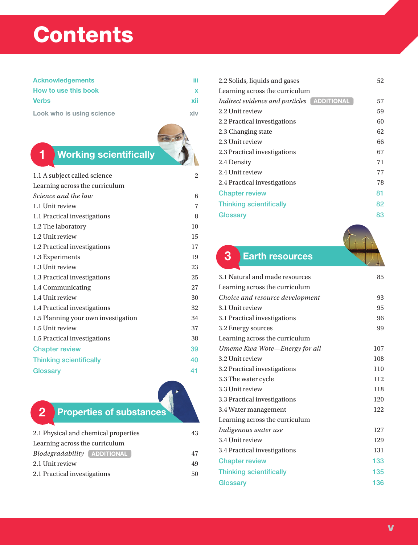# **Contents**

| <b>Acknowledgements</b> | ïï  |  |
|-------------------------|-----|--|
| How to use this book    |     |  |
| <b>Verbs</b>            | xii |  |

Look who is using science the state of the state and the state of the state of the state of the state of the state of the state of the state of the state of the state of the state of the state of the state of the state of



| 1.1 A subject called science        | $\overline{c}$ |
|-------------------------------------|----------------|
| Learning across the curriculum      |                |
| Science and the law                 | 6              |
| 1.1 Unit review                     | 7              |
| 1.1 Practical investigations        | 8              |
| 1.2 The laboratory                  | 10             |
| 1.2 Unit review                     | 15             |
| 1.2 Practical investigations        | 17             |
| 1.3 Experiments                     | 19             |
| 1.3 Unit review                     | 23             |
| 1.3 Practical investigations        | 25             |
| 1.4 Communicating                   | 27             |
| 1.4 Unit review                     | 30             |
| 1.4 Practical investigations        | 32             |
| 1.5 Planning your own investigation | 34             |
| 1.5 Unit review                     | 37             |
| 1.5 Practical investigations        | 38             |
| <b>Chapter review</b>               | 39             |
| <b>Thinking scientifically</b>      | 40             |
| Glossary                            | 41             |
|                                     |                |

## 2 Properties of substances

| 2.1 Physical and chemical properties      | 43 |
|-------------------------------------------|----|
| Learning across the curriculum            |    |
| <i>Biodegradability</i> <b>ADDITIONAL</b> | 47 |
| 2.1 Unit review                           | 49 |
| 2.1 Practical investigations              | 50 |

| 2.2 Solids, liquids and gases              | 52 |
|--------------------------------------------|----|
| Learning across the curriculum             |    |
| Indirect evidence and particles ADDITIONAL | 57 |
| 2.2 Unit review                            | 59 |
| 2.2 Practical investigations               | 60 |
| 2.3 Changing state                         | 62 |
| 2.3 Unit review                            | 66 |
| 2.3 Practical investigations               | 67 |
| 2.4 Density                                | 71 |
| 2.4 Unit review                            | 77 |
| 2.4 Practical investigations               | 78 |
| <b>Chapter review</b>                      | 81 |
| <b>Thinking scientifically</b>             | 82 |
| Glossary                                   | 83 |
|                                            |    |

### 3 Earth resources

| 3.1 Natural and made resources  | 85  |
|---------------------------------|-----|
| Learning across the curriculum  |     |
| Choice and resource development | 93  |
| 3.1 Unit review                 | 95  |
| 3.1 Practical investigations    | 96  |
| 3.2 Energy sources              | 99  |
| Learning across the curriculum  |     |
| Umeme Kwa Wote—Energy for all   | 107 |
| 3.2 Unit review                 | 108 |
| 3.2 Practical investigations    | 110 |
| 3.3 The water cycle             | 112 |
| 3.3 Unit review                 | 118 |
| 3.3 Practical investigations    | 120 |
| 3.4 Water management            | 122 |
| Learning across the curriculum  |     |
| Indigenous water use            | 127 |
| 3.4 Unit review                 | 129 |
| 3.4 Practical investigations    | 131 |
| <b>Chapter review</b>           | 133 |
| <b>Thinking scientifically</b>  | 135 |
| Glossary                        | 136 |
|                                 |     |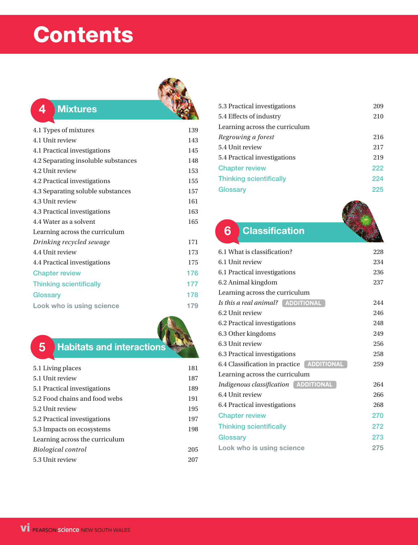# **Contents**



#### 4 Mixtures

| 4.1 Types of mixtures               | 139 |
|-------------------------------------|-----|
| 4.1 Unit review                     | 143 |
| 4.1 Practical investigations        | 145 |
| 4.2 Separating insoluble substances | 148 |
| 4.2 Unit review                     | 153 |
| 4.2 Practical investigations        | 155 |
| 4.3 Separating soluble substances   | 157 |
| 4.3 Unit review                     | 161 |
| 4.3 Practical investigations        | 163 |
| 4.4 Water as a solvent              | 165 |
| Learning across the curriculum      |     |
| Drinking recycled sewage            | 171 |
| 4.4 Unit review                     | 173 |
| 4.4 Practical investigations        | 175 |
| <b>Chapter review</b>               | 176 |
| <b>Thinking scientifically</b>      | 177 |
| Glossary                            | 178 |
| Look who is using science           | 179 |
|                                     |     |

### **5** Habitats and interactions

| 5.1 Living places              | 181 |
|--------------------------------|-----|
| 5.1 Unit review                | 187 |
| 5.1 Practical investigations   | 189 |
| 5.2 Food chains and food webs  | 191 |
| 5.2 Unit review                | 195 |
| 5.2 Practical investigations   | 197 |
| 5.3 Impacts on ecosystems      | 198 |
| Learning across the curriculum |     |
| Biological control             | 205 |
| 5.3 Unit review                | 207 |

| 5.3 Practical investigations   | 209 |
|--------------------------------|-----|
| 5.4 Effects of industry        | 210 |
| Learning across the curriculum |     |
| Regrowing a forest             | 216 |
| 5.4 Unit review                | 217 |
| 5.4 Practical investigations   | 219 |
| <b>Chapter review</b>          | 222 |
| <b>Thinking scientifically</b> | 224 |
| Glossary                       | 225 |

### **6** Classification